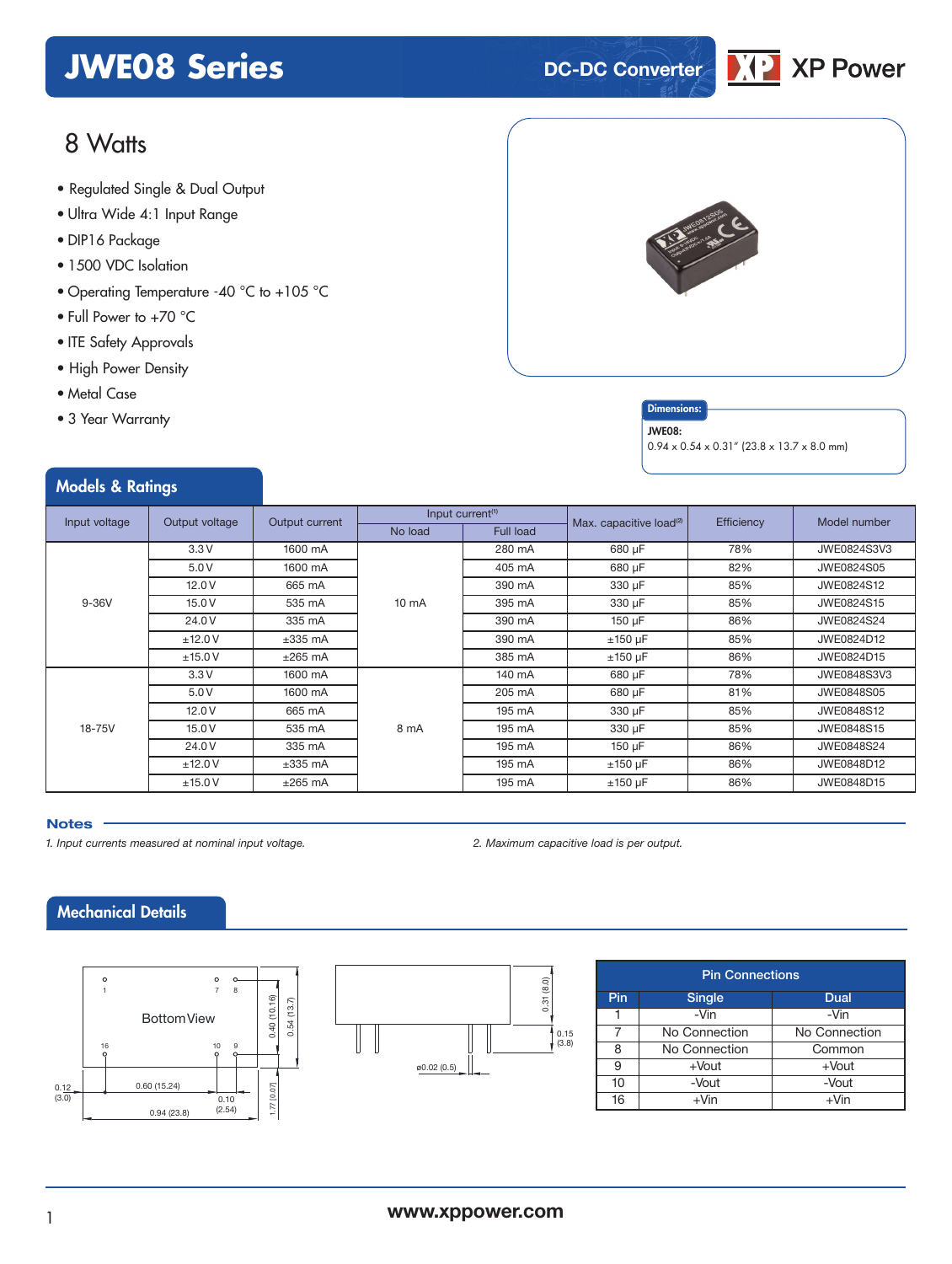# **JWE08 Series DC-DC** Converter



### 8 Watts

- **xxx Series** Regulated Single & Dual Output
- Ultra Wide 4:1 Input Range
- DIP16 Package
- 1500 VDC Isolation
- Operating Temperature -40 °C to +105 °C
- Full Power to +70 °C
- ITE Safety Approvals
- High Power Density
- Metal Case
- 3 Year Warranty

Models & Ratings



#### **Dimensions**

#### JWE08:

0.94 x 0.54 x 0.31" (23.8 x 13.7 x 8.0 mm)

| Input voltage | Output voltage | Output current   | Input current <sup>(1)</sup> |           | Max. capacitive load <sup>(2)</sup> | Efficiency | Model number |
|---------------|----------------|------------------|------------------------------|-----------|-------------------------------------|------------|--------------|
|               |                |                  | No load                      | Full load |                                     |            |              |
|               | 3.3V           | 1600 mA          |                              | 280 mA    | 680 µF                              | 78%        | JWE0824S3V3  |
|               | 5.0V           | 1600 mA          |                              | 405 mA    | 680 µF                              | 82%        | JWE0824S05   |
|               | 12.0V          | 665 mA<br>390 mA |                              | 330 µF    | 85%                                 | JWE0824S12 |              |
| $9-36V$       | 15.0V          | 535 mA           | $10 \text{ mA}$              | 395 mA    | 330 µF                              | 85%        | JWE0824S15   |
|               | 24.0 V         | 335 mA           |                              | 390 mA    | 150 µF                              | 86%        | JWE0824S24   |
|               | ±12.0V         | $\pm 335$ mA     |                              | 390 mA    | $±150 \mu F$                        | 85%        | JWE0824D12   |
|               | ±15.0V         | $±265$ mA        |                              | 385 mA    | $±150 \mu F$                        | 86%        | JWE0824D15   |
|               | 3.3V           | 1600 mA          |                              | 140 mA    | 680 µF                              | 78%        | JWE0848S3V3  |
| 18-75V        | 5.0V           | 1600 mA          |                              | 205 mA    | 680 µF                              | 81%        | JWE0848S05   |
|               | 12.0V          | 665 mA           | 8 mA                         | 195 mA    | 330 µF                              | 85%        | JWE0848S12   |
|               | 15.0V          | 535 mA           |                              | 195 mA    | 330 µF                              | 85%        | JWE0848S15   |
|               | 24.0 V         | 335 mA           |                              | 195 mA    | 150 µF                              | 86%        | JWE0848S24   |
|               | ±12.0V         | $\pm 335$ mA     |                              | 195 mA    | $±150 \mu F$                        | 86%        | JWE0848D12   |
|               | ±15.0V         | $\pm 265$ mA     |                              | 195 mA    | $±150 \mu F$                        | 86%        | JWE0848D15   |

#### **Notes**

*1. Input currents measured at nominal input voltage. 2. Maximum capacitive load is per output.*

### Mechanical Details





| <b>Pin Connections</b> |               |               |  |  |  |  |
|------------------------|---------------|---------------|--|--|--|--|
| Pin                    | <b>Single</b> | Dual          |  |  |  |  |
|                        | $-Vin$        | -Vin          |  |  |  |  |
|                        | No Connection | No Connection |  |  |  |  |
| 8                      | No Connection | Common        |  |  |  |  |
| 9                      | $+$ Vout      | $+$ Vout      |  |  |  |  |
| 10                     | -Vout         | -Vout         |  |  |  |  |
| 16                     | $+V$ in       | $+V$ in       |  |  |  |  |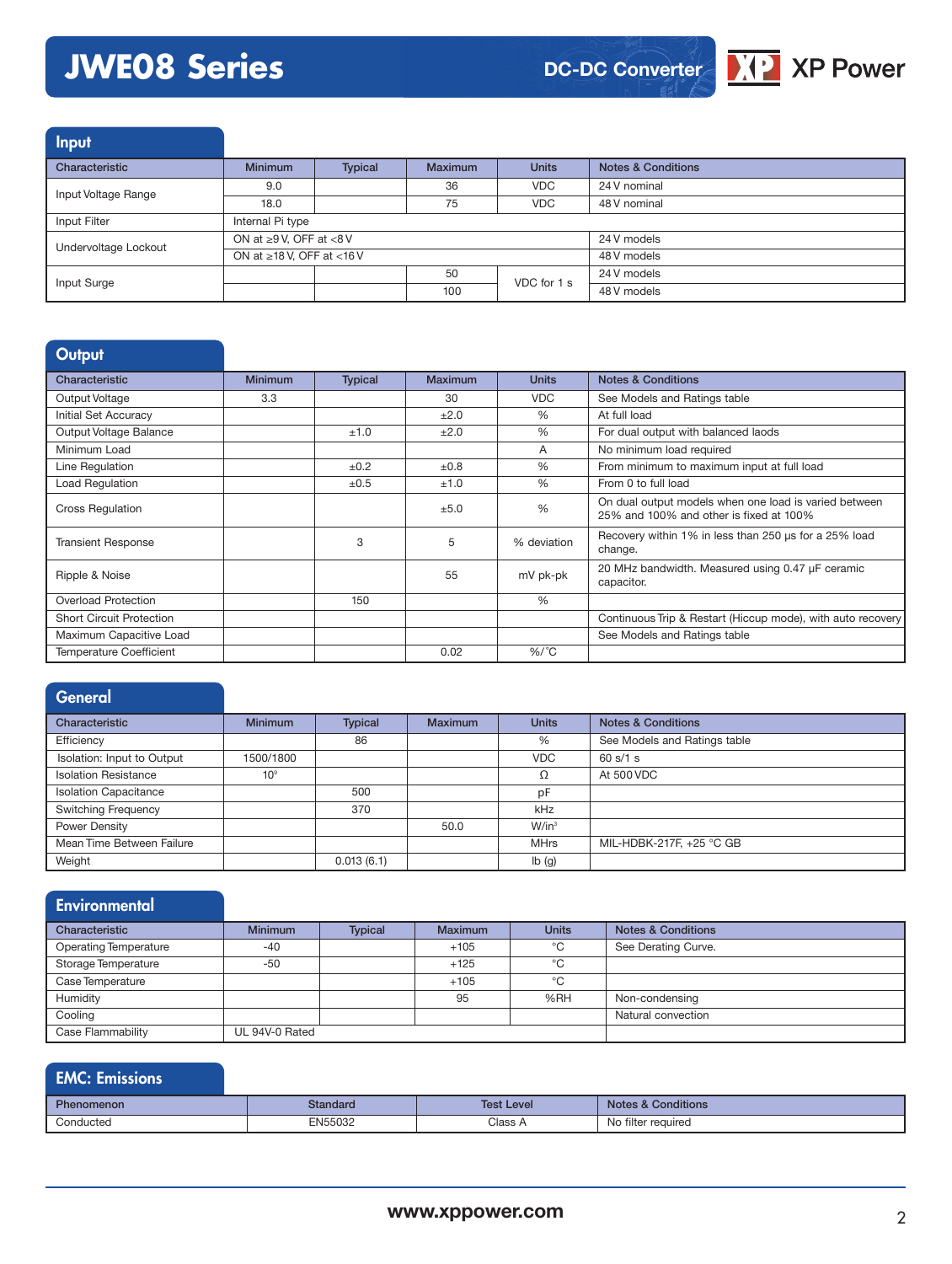# **JWE08 Series**



Input

| Characteristic       | <b>Minimum</b>                  | <b>Typical</b> | Maximum | <b>Units</b> | Notes & Conditions |
|----------------------|---------------------------------|----------------|---------|--------------|--------------------|
| Input Voltage Range  | 9.0                             |                | 36      | VDC.         | 24 V nominal       |
|                      | 18.0                            |                | 75      | <b>VDC</b>   | 48 V nominal       |
| Input Filter         | Internal Pi type                |                |         |              |                    |
| Undervoltage Lockout | ON at $\geq 9$ V, OFF at <8 V   |                |         | 24 V models  |                    |
|                      | ON at $\geq$ 18 V, OFF at <16 V |                |         | 48 V models  |                    |
| Input Surge          |                                 |                | 50      | VDC for 1 s  | 24 V models        |
|                      |                                 |                | 100     |              | 48 V models        |

#### **Output**

| Characteristic                  | <b>Minimum</b> | <b>Typical</b> | Maximum   | <b>Units</b> | <b>Notes &amp; Conditions</b>                                                                    |
|---------------------------------|----------------|----------------|-----------|--------------|--------------------------------------------------------------------------------------------------|
| Output Voltage                  | 3.3            |                | 30        | <b>VDC</b>   | See Models and Ratings table                                                                     |
| Initial Set Accuracy            |                |                | ±2.0      | $\%$         | At full load                                                                                     |
| Output Voltage Balance          |                | ±1.0           | ±2.0      | $\%$         | For dual output with balanced laods                                                              |
| Minimum Load                    |                |                |           | A            | No minimum load required                                                                         |
| Line Regulation                 |                | ±0.2           | $\pm 0.8$ | $\%$         | From minimum to maximum input at full load                                                       |
| Load Regulation                 |                | $\pm 0.5$      | ±1.0      | $\%$         | From 0 to full load                                                                              |
| <b>Cross Regulation</b>         |                |                | ±5.0      | %            | On dual output models when one load is varied between<br>25% and 100% and other is fixed at 100% |
| <b>Transient Response</b>       |                | 3              | 5         | % deviation  | Recovery within 1% in less than 250 us for a 25% load<br>change.                                 |
| Ripple & Noise                  |                |                | 55        | mV pk-pk     | 20 MHz bandwidth. Measured using 0.47 µF ceramic<br>capacitor.                                   |
| <b>Overload Protection</b>      |                | 150            |           | %            |                                                                                                  |
| <b>Short Circuit Protection</b> |                |                |           |              | Continuous Trip & Restart (Hiccup mode), with auto recovery                                      |
| Maximum Capacitive Load         |                |                |           |              | See Models and Ratings table                                                                     |
| <b>Temperature Coefficient</b>  |                |                | 0.02      | $\%$ /°C     |                                                                                                  |

#### **General** Characteristic Minimum Typical Maximum Units Notes & Conditions Efficiency **See Models and Ratings table** 86 86 See Models and Ratings table Isolation: Input to Output 1500/1800 VDC 60 s/1 s Isolation Resistance 10<sup>9</sup> 10<sup>9</sup> 500 Ω At 500 VDC<br>Isolation Capacitance 500 <del>pF</del> Isolation Capacitance 600 pF<br>
Switching Frequency 370 kHz Switching Frequency Power Density **1988** W/in<sup>3</sup> Mean Time Between Failure MHrs MIL-HDBK-217F, +25 °C GB Weight **12 and 13 and 13 and 14 and 14 and 14 and 15 and 16 and 16 and 16 and 16 and 16 and 16 and 16 and 16 and 16 and 16 and 16 and 16 and 16 and 16 and 16 and 16 and 16 and 16 and 16 and 16 and 16 and 16 and 16 and 16 a**

| <b>Environmental</b>         |                |                |                |              |                               |
|------------------------------|----------------|----------------|----------------|--------------|-------------------------------|
| Characteristic               | <b>Minimum</b> | <b>Typical</b> | <b>Maximum</b> | <b>Units</b> | <b>Notes &amp; Conditions</b> |
| <b>Operating Temperature</b> | $-40$          |                | $+105$         | °C           | See Derating Curve.           |
| Storage Temperature          | $-50$          |                | $+125$         | °C           |                               |
| Case Temperature             |                |                | $+105$         | °C           |                               |
| Humidity                     |                |                | 95             | %RH          | Non-condensing                |
| Cooling                      |                |                |                |              | Natural convection            |
| Case Flammability            | UL 94V-0 Rated |                |                |              |                               |

| <b>EMC: Emissions</b> |          |                   |                               |
|-----------------------|----------|-------------------|-------------------------------|
| Phenomenon            | Standard | <b>Test Level</b> | <b>Notes &amp; Conditions</b> |
| Conducted             | EN55032  | Class A           | No filter reauired            |